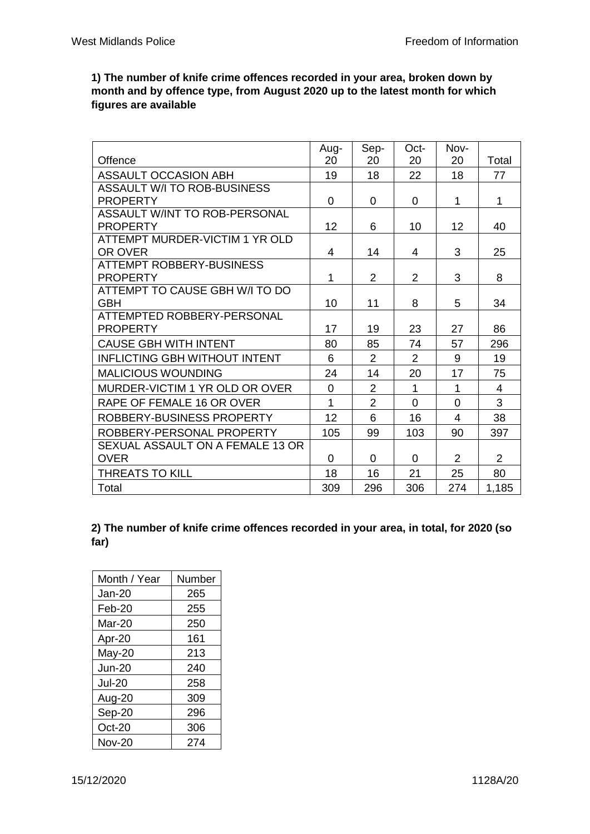**1) The number of knife crime offences recorded in your area, broken down by month and by offence type, from August 2020 up to the latest month for which figures are available**

|                                                  | Aug-           | Sep-           | Oct-           | Nov-     |                |
|--------------------------------------------------|----------------|----------------|----------------|----------|----------------|
| Offence                                          | 20             | 20             | 20             | 20       | Total          |
| <b>ASSAULT OCCASION ABH</b>                      | 19             | 18             | 22             | 18       | 77             |
| ASSAULT W/I TO ROB-BUSINESS                      |                |                |                |          |                |
| <b>PROPERTY</b>                                  | 0              | 0              | 0              | 1        | 1              |
| ASSAULT W/INT TO ROB-PERSONAL<br><b>PROPERTY</b> | 12             | 6              | 10             | 12       | 40             |
| ATTEMPT MURDER-VICTIM 1 YR OLD                   |                |                |                |          |                |
| OR OVER                                          | 4              | 14             | 4              | 3        | 25             |
| <b>ATTEMPT ROBBERY-BUSINESS</b>                  |                |                |                |          |                |
| <b>PROPERTY</b>                                  | 1              | $\overline{2}$ | $\overline{2}$ | 3        | 8              |
| ATTEMPT TO CAUSE GBH W/I TO DO                   |                |                |                |          |                |
| <b>GBH</b>                                       | 10             | 11             | 8              | 5        | 34             |
| ATTEMPTED ROBBERY-PERSONAL                       |                |                |                |          |                |
| <b>PROPERTY</b>                                  | 17             | 19             | 23             | 27       | 86             |
| <b>CAUSE GBH WITH INTENT</b>                     | 80             | 85             | 74             | 57       | 296            |
| <b>INFLICTING GBH WITHOUT INTENT</b>             | 6              | $\overline{2}$ | 2              | 9        | 19             |
| <b>MALICIOUS WOUNDING</b>                        | 24             | 14             | 20             | 17       | 75             |
| MURDER-VICTIM 1 YR OLD OR OVER                   | $\overline{0}$ | $\overline{2}$ | $\mathbf 1$    | 1        | 4              |
| RAPE OF FEMALE 16 OR OVER                        | 1              | $\overline{2}$ | $\Omega$       | $\Omega$ | 3              |
| ROBBERY-BUSINESS PROPERTY                        | 12             | 6              | 16             | 4        | 38             |
| ROBBERY-PERSONAL PROPERTY                        | 105            | 99             | 103            | 90       | 397            |
| SEXUAL ASSAULT ON A FEMALE 13 OR                 |                |                |                |          |                |
| <b>OVER</b>                                      | $\Omega$       | $\Omega$       | 0              | 2        | $\overline{2}$ |
| <b>THREATS TO KILL</b>                           | 18             | 16             | 21             | 25       | 80             |
| Total                                            | 309            | 296            | 306            | 274      | 1,185          |

## **2) The number of knife crime offences recorded in your area, in total, for 2020 (so far)**

| Month / Year  | Number |  |
|---------------|--------|--|
| Jan-20        | 265    |  |
| Feb-20        | 255    |  |
| Mar-20        | 250    |  |
| Apr-20        | 161    |  |
| May-20        | 213    |  |
| <b>Jun-20</b> | 240    |  |
| <b>Jul-20</b> | 258    |  |
| Aug-20        | 309    |  |
| Sep-20        | 296    |  |
| Oct-20        | 306    |  |
| <b>Nov-20</b> | 274    |  |